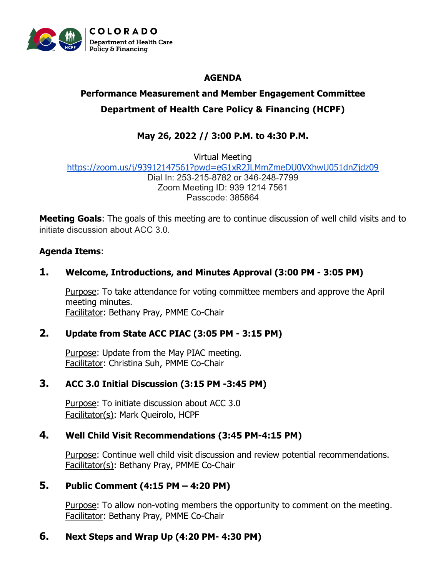

# **AGENDA**

# **Performance Measurement and Member Engagement Committee Department of Health Care Policy & Financing (HCPF)**

# **May 26, 2022 // 3:00 P.M. to 4:30 P.M.**

Virtual Meeting <https://zoom.us/j/93912147561?pwd=eG1xR2JLMmZmeDU0VXhwU051dnZjdz09> Dial In: 253-215-8782 or 346-248-7799 Zoom Meeting ID: 939 1214 7561 Passcode: 385864

**Meeting Goals**: The goals of this meeting are to continue discussion of well child visits and to initiate discussion about ACC 3.0.

## **Agenda Items**:

## **1. Welcome, Introductions, and Minutes Approval (3:00 PM - 3:05 PM)**

Purpose: To take attendance for voting committee members and approve the April meeting minutes. Facilitator: Bethany Pray, PMME Co-Chair

#### **2. Update from State ACC PIAC (3:05 PM - 3:15 PM)**

Purpose: Update from the May PIAC meeting. Facilitator: Christina Suh, PMME Co-Chair

#### **3. ACC 3.0 Initial Discussion (3:15 PM -3:45 PM)**

Purpose: To initiate discussion about ACC 3.0 Facilitator(s): Mark Queirolo, HCPF

#### **4. Well Child Visit Recommendations (3:45 PM-4:15 PM)**

Purpose: Continue well child visit discussion and review potential recommendations. Facilitator(s): Bethany Pray, PMME Co-Chair

#### **5. Public Comment (4:15 PM – 4:20 PM)**

Purpose: To allow non-voting members the opportunity to comment on the meeting. Facilitator: Bethany Pray, PMME Co-Chair

# **6. Next Steps and Wrap Up (4:20 PM- 4:30 PM)**